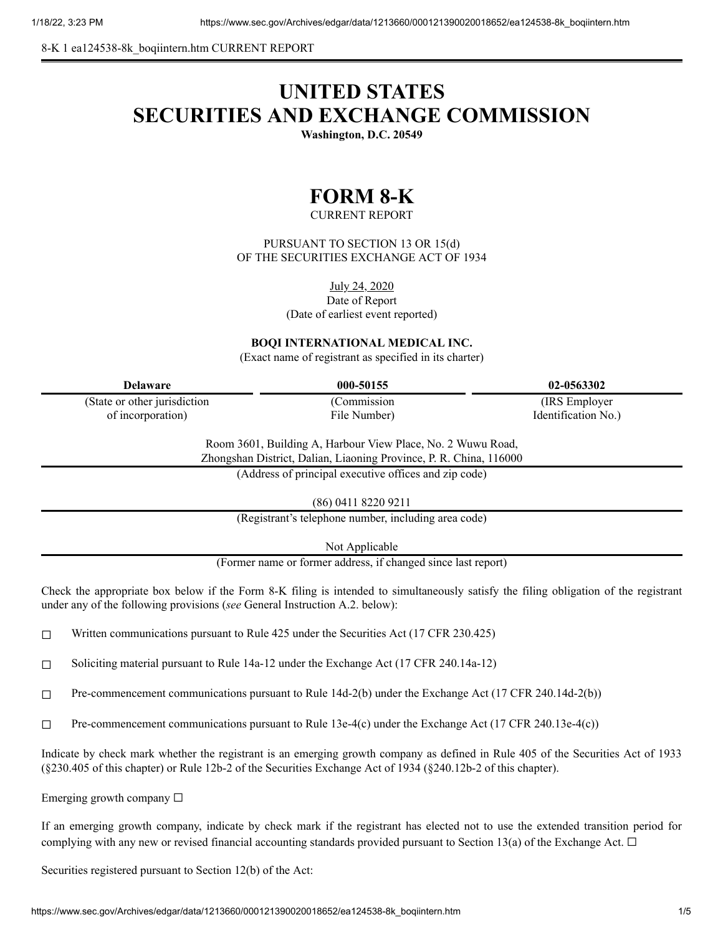8-K 1 ea124538-8k\_boqiintern.htm CURRENT REPORT

# **UNITED STATES SECURITIES AND EXCHANGE COMMISSION**

**Washington, D.C. 20549**

## **FORM 8-K**

CURRENT REPORT

PURSUANT TO SECTION 13 OR 15(d) OF THE SECURITIES EXCHANGE ACT OF 1934

July 24, 2020

Date of Report

(Date of earliest event reported)

#### **BOQI INTERNATIONAL MEDICAL INC.**

(Exact name of registrant as specified in its charter)

| Delaware                      | 000-50155    | 02-0563302          |
|-------------------------------|--------------|---------------------|
| (State or other jurisdiction) | (Commission  | (IRS Employer)      |
| of incorporation)             | File Number) | Identification No.) |

Room 3601, Building A, Harbour View Place, No. 2 Wuwu Road, Zhongshan District, Dalian, Liaoning Province, P. R. China, 116000

(Address of principal executive offices and zip code)

(86) 0411 8220 9211

(Registrant's telephone number, including area code)

Not Applicable

(Former name or former address, if changed since last report)

Check the appropriate box below if the Form 8-K filing is intended to simultaneously satisfy the filing obligation of the registrant under any of the following provisions (*see* General Instruction A.2. below):

 $\Box$  Written communications pursuant to Rule 425 under the Securities Act (17 CFR 230.425)

☐ Soliciting material pursuant to Rule 14a-12 under the Exchange Act (17 CFR 240.14a-12)

☐ Pre-commencement communications pursuant to Rule 14d-2(b) under the Exchange Act (17 CFR 240.14d-2(b))

☐ Pre-commencement communications pursuant to Rule 13e-4(c) under the Exchange Act (17 CFR 240.13e-4(c))

Indicate by check mark whether the registrant is an emerging growth company as defined in Rule 405 of the Securities Act of 1933 (§230.405 of this chapter) or Rule 12b-2 of the Securities Exchange Act of 1934 (§240.12b-2 of this chapter).

Emerging growth company  $\Box$ 

If an emerging growth company, indicate by check mark if the registrant has elected not to use the extended transition period for complying with any new or revised financial accounting standards provided pursuant to Section 13(a) of the Exchange Act.  $\Box$ 

Securities registered pursuant to Section 12(b) of the Act: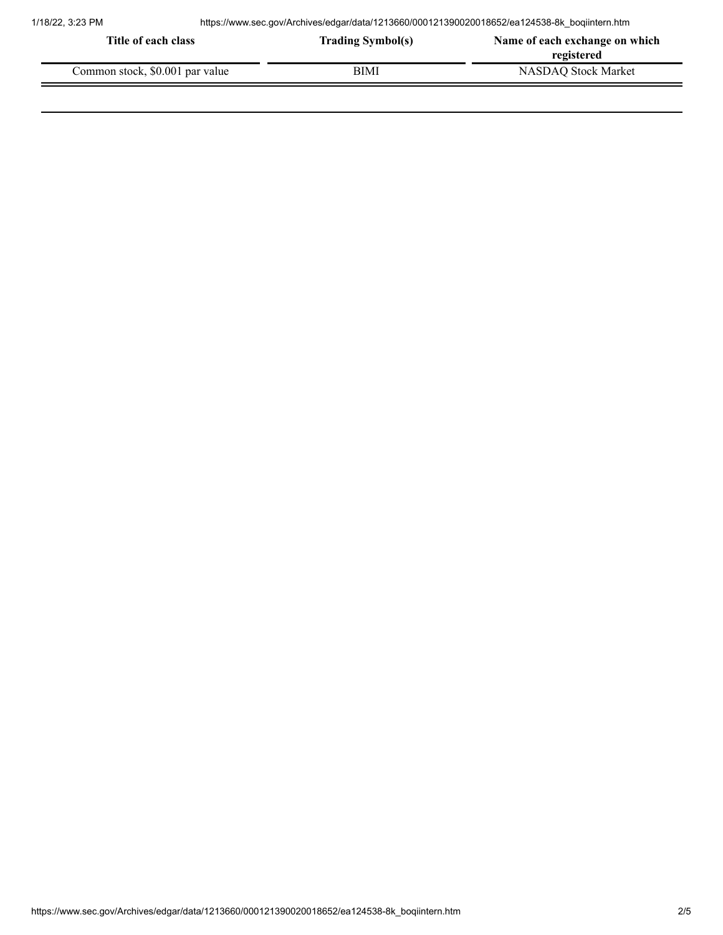| Title of each class             | <b>Trading Symbol(s)</b> | Name of each exchange on which |
|---------------------------------|--------------------------|--------------------------------|
|                                 |                          | registered                     |
| Common stock, \$0.001 par value | BIMI                     | <b>NASDAQ Stock Market</b>     |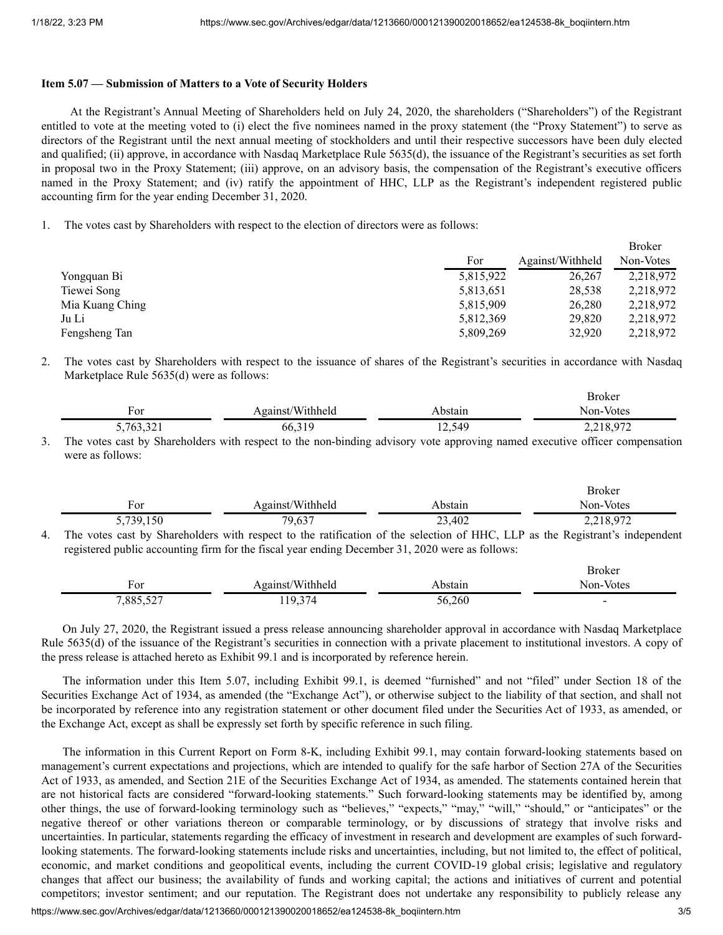#### **Item 5.07 — Submission of Matters to a Vote of Security Holders**

At the Registrant's Annual Meeting of Shareholders held on July 24, 2020, the shareholders ("Shareholders") of the Registrant entitled to vote at the meeting voted to (i) elect the five nominees named in the proxy statement (the "Proxy Statement") to serve as directors of the Registrant until the next annual meeting of stockholders and until their respective successors have been duly elected and qualified; (ii) approve, in accordance with Nasdaq Marketplace Rule 5635(d), the issuance of the Registrant's securities as set forth in proposal two in the Proxy Statement; (iii) approve, on an advisory basis, the compensation of the Registrant's executive officers named in the Proxy Statement; and (iv) ratify the appointment of HHC, LLP as the Registrant's independent registered public accounting firm for the year ending December 31, 2020.

1. The votes cast by Shareholders with respect to the election of directors were as follows:

|                 |           |                  | <b>Broker</b> |
|-----------------|-----------|------------------|---------------|
|                 | For       | Against/Withheld | Non-Votes     |
| Yongquan Bi     | 5,815,922 | 26,267           | 2,218,972     |
| Tiewei Song     | 5,813,651 | 28,538           | 2,218,972     |
| Mia Kuang Ching | 5,815,909 | 26,280           | 2,218,972     |
| Ju Li           | 5,812,369 | 29,820           | 2,218,972     |
| Fengsheng Tan   | 5,809,269 | 32,920           | 2,218,972     |

2. The votes cast by Shareholders with respect to the issuance of shares of the Registrant's securities in accordance with Nasdaq Marketplace Rule 5635(d) were as follows:

|           |                  |        | <b>Broker</b> |
|-----------|------------------|--------|---------------|
| For       | Against/Withheld | bstain | Non-Votes     |
| 5,763,321 | 66,319           | 12,549 | 2,218,972     |

3. The votes cast by Shareholders with respect to the non-binding advisory vote approving named executive officer compensation were as follows:

|          |                      |                                          | <u>Lating the set</u> |
|----------|----------------------|------------------------------------------|-----------------------|
| For      | 191 n et<br>Withheld | .                                        | Nor<br>VOLE.          |
| `'<br>ັ້ | 77<br>n,<br>$\sim$   | $\Delta 0^{\circ}$<br>᠇୰୵<br>--<br>- - - | $\sim$                |

4. The votes cast by Shareholders with respect to the ratification of the selection of HHC, LLP as the Registrant's independent registered public accounting firm for the fiscal year ending December 31, 2020 were as follows:

|                |                  |        | <b>DIVAVI</b>            |
|----------------|------------------|--------|--------------------------|
| $\mathbf{r}$   | 0.0100           |        | Non-                     |
| For            | 'Withheld        |        | - Votes                  |
| ---            |                  |        |                          |
| $\overline{a}$ | 1 O              | 56,260 | $\overline{\phantom{0}}$ |
| .885           | 11/ <sub>2</sub> |        |                          |

On July 27, 2020, the Registrant issued a press release announcing shareholder approval in accordance with Nasdaq Marketplace Rule 5635(d) of the issuance of the Registrant's securities in connection with a private placement to institutional investors. A copy of the press release is attached hereto as Exhibit 99.1 and is incorporated by reference herein.

The information under this Item 5.07, including Exhibit 99.1, is deemed "furnished" and not "filed" under Section 18 of the Securities Exchange Act of 1934, as amended (the "Exchange Act"), or otherwise subject to the liability of that section, and shall not be incorporated by reference into any registration statement or other document filed under the Securities Act of 1933, as amended, or the Exchange Act, except as shall be expressly set forth by specific reference in such filing.

The information in this Current Report on Form 8-K, including Exhibit 99.1, may contain forward-looking statements based on management's current expectations and projections, which are intended to qualify for the safe harbor of Section 27A of the Securities Act of 1933, as amended, and Section 21E of the Securities Exchange Act of 1934, as amended. The statements contained herein that are not historical facts are considered "forward-looking statements." Such forward-looking statements may be identified by, among other things, the use of forward-looking terminology such as "believes," "expects," "may," "will," "should," or "anticipates" or the negative thereof or other variations thereon or comparable terminology, or by discussions of strategy that involve risks and uncertainties. In particular, statements regarding the efficacy of investment in research and development are examples of such forwardlooking statements. The forward-looking statements include risks and uncertainties, including, but not limited to, the effect of political, economic, and market conditions and geopolitical events, including the current COVID-19 global crisis; legislative and regulatory changes that affect our business; the availability of funds and working capital; the actions and initiatives of current and potential competitors; investor sentiment; and our reputation. The Registrant does not undertake any responsibility to publicly release any

https://www.sec.gov/Archives/edgar/data/1213660/000121390020018652/ea124538-8k\_boqiintern.htm 3/5

Broker

Broker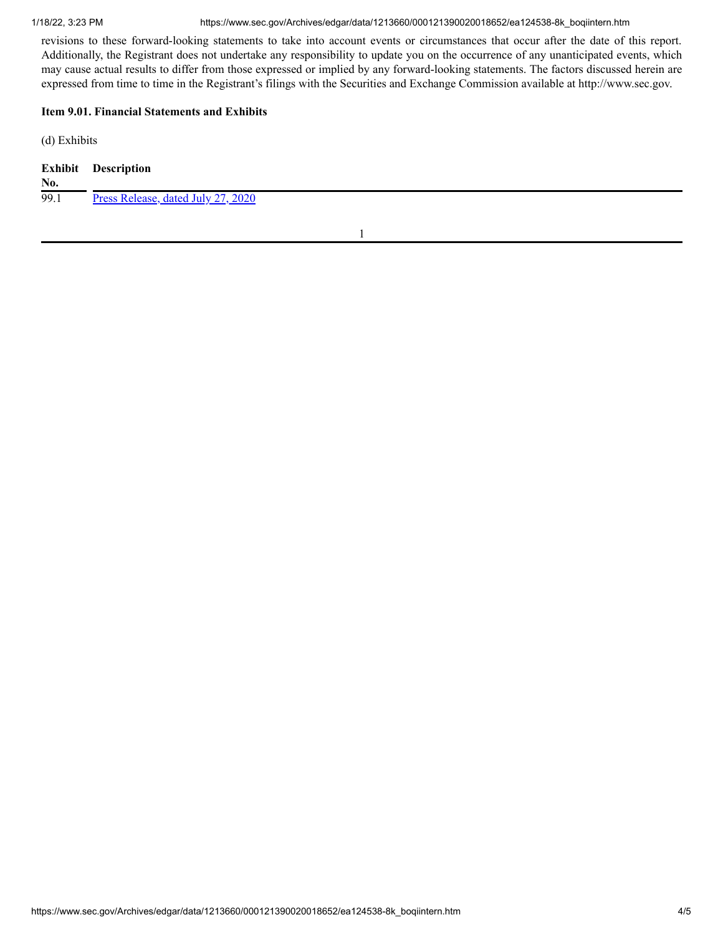1/18/22, 3:23 PM https://www.sec.gov/Archives/edgar/data/1213660/000121390020018652/ea124538-8k\_boqiintern.htm

revisions to these forward-looking statements to take into account events or circumstances that occur after the date of this report. Additionally, the Registrant does not undertake any responsibility to update you on the occurrence of any unanticipated events, which may cause actual results to differ from those expressed or implied by any forward-looking statements. The factors discussed herein are expressed from time to time in the Registrant's filings with the Securities and Exchange Commission available at http://www.sec.gov.

### **Item 9.01. Financial Statements and Exhibits**

(d) Exhibits

| No.  | <b>Exhibit</b> Description                |
|------|-------------------------------------------|
| 99.1 | <u>Press Release, dated July 27, 2020</u> |

1